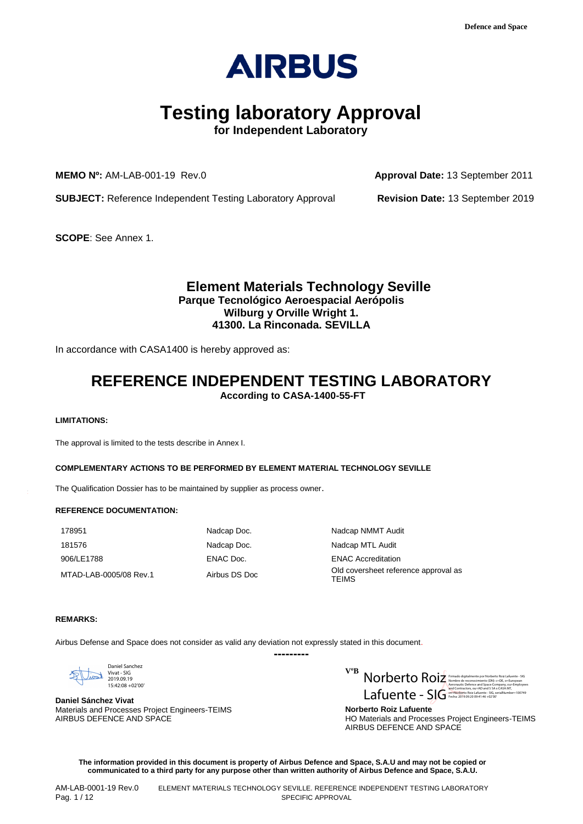

# **Testing laboratory Approval**

**for Independent Laboratory** 

**MEMO Nº:** AM-LAB-001-19 Rev.0 **Approval Date:** 13 September 2011

**SUBJECT:** Reference Independent Testing Laboratory Approval **Revision Date:** 13 September 2019

**SCOPE**: See Annex 1.

## **Element Materials Technology Seville Parque Tecnológico Aeroespacial Aerópolis Wilburg y Orville Wright 1. 41300. La Rinconada. SEVILLA**

In accordance with CASA1400 is hereby approved as:

## **REFERENCE INDEPENDENT TESTING LABORATORY According to CASA-1400-55-FT**

#### **LIMITATIONS:**

The approval is limited to the tests describe in Annex I.

#### **COMPLEMENTARY ACTIONS TO BE PERFORMED BY ELEMENT MATERIAL TECHNOLOGY SEVILLE**

The Qualification Dossier has to be maintained by supplier as process owner.

#### **REFERENCE DOCUMENTATION:**

178951 Nadcap Doc. Nadcap Doc. Nadcap NMMT Audit 181576 Nadcap Doc. Nadcap Doc. Nadcap MTL Audit 906/LE1788 ENAC Doc. ENAC Accreditation

MTAD-LAB-0005/08 Rev.1 Airbus DS Doc Coversheet reference approval as **TEIMS** 

#### **REMARKS:**

Airbus Defense and Space does not consider as valid any deviation not expressly stated in this document.



**Daniel Sánchez Vivat** Materials and Processes Project Engineers-TEIMS AIRBUS DEFENCE AND SPACE

**VºB** V P MOLOCOLO Firmado digitalmente por Norberto Roiz Lafuente - SIGNUS EN ESTE EN ESTE EN EN ENCOREGIA ELECTRICO ROIZ Firmado digitalmente por Norberto Roiz Lafuente - SIGNUS EN ELECTRICO ROIZ FIRMADO DE LA NORTE DE RECONOC  $Lafunc_{\text{m}}(2) = S \overline{\int G}^{\text{ind/Contrate} \text{ock} \text{addest 2S} \times 20 \text{M/L}}$ 

> **Norberto Roiz Lafuente** HO Materials and Processes Project Engineers-TEIMS AIRBUS DEFENCE AND SPACE

**The information provided in this document is property of Airbus Defence and Space, S.A.U and may not be copied or communicated to a third party for any purpose other than written authority of Airbus Defence and Space, S.A.U.**

**---------**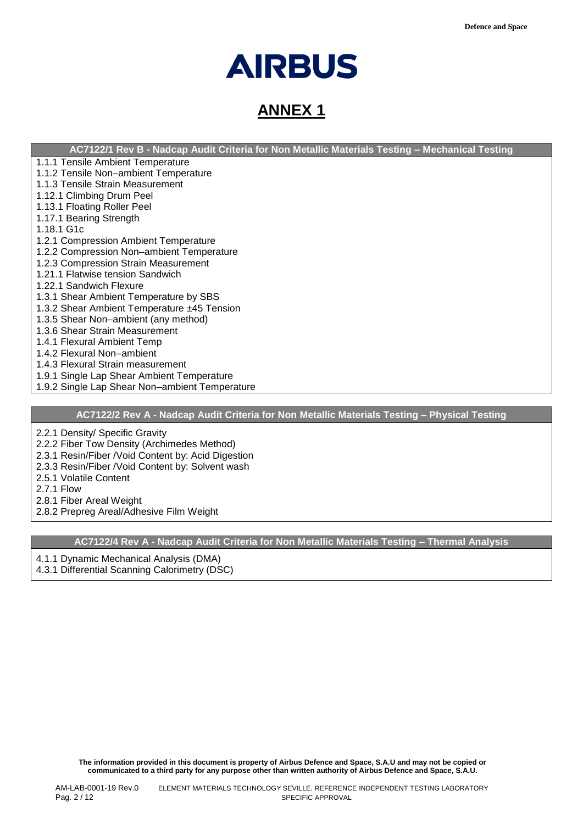# **AIRBUS**

# **ANNEX 1**

**AC7122/1 Rev B - Nadcap Audit Criteria for Non Metallic Materials Testing – Mechanical Testing**

- 1.1.1 Tensile Ambient Temperature
- 1.1.2 Tensile Non–ambient Temperature
- 1.1.3 Tensile Strain Measurement
- 1.12.1 Climbing Drum Peel
- 1.13.1 Floating Roller Peel
- 1.17.1 Bearing Strength
- 1.18.1 G1c
- 1.2.1 Compression Ambient Temperature
- 1.2.2 Compression Non–ambient Temperature
- 1.2.3 Compression Strain Measurement
- 1.21.1 Flatwise tension Sandwich
- 1.22.1 Sandwich Flexure
- 1.3.1 Shear Ambient Temperature by SBS
- 1.3.2 Shear Ambient Temperature ±45 Tension
- 1.3.5 Shear Non–ambient (any method)
- 1.3.6 Shear Strain Measurement
- 1.4.1 Flexural Ambient Temp
- 1.4.2 Flexural Non–ambient
- 1.4.3 Flexural Strain measurement
- 1.9.1 Single Lap Shear Ambient Temperature
- 1.9.2 Single Lap Shear Non–ambient Temperature

### **AC7122/2 Rev A - Nadcap Audit Criteria for Non Metallic Materials Testing – Physical Testing**

2.2.1 Density/ Specific Gravity

- 2.2.2 Fiber Tow Density (Archimedes Method)
- 2.3.1 Resin/Fiber /Void Content by: Acid Digestion
- 2.3.3 Resin/Fiber /Void Content by: Solvent wash
- 2.5.1 Volatile Content
- 2.7.1 Flow
- 2.8.1 Fiber Areal Weight
- 2.8.2 Prepreg Areal/Adhesive Film Weight

**AC7122/4 Rev A - Nadcap Audit Criteria for Non Metallic Materials Testing – Thermal Analysis**

4.1.1 Dynamic Mechanical Analysis (DMA)

4.3.1 Differential Scanning Calorimetry (DSC)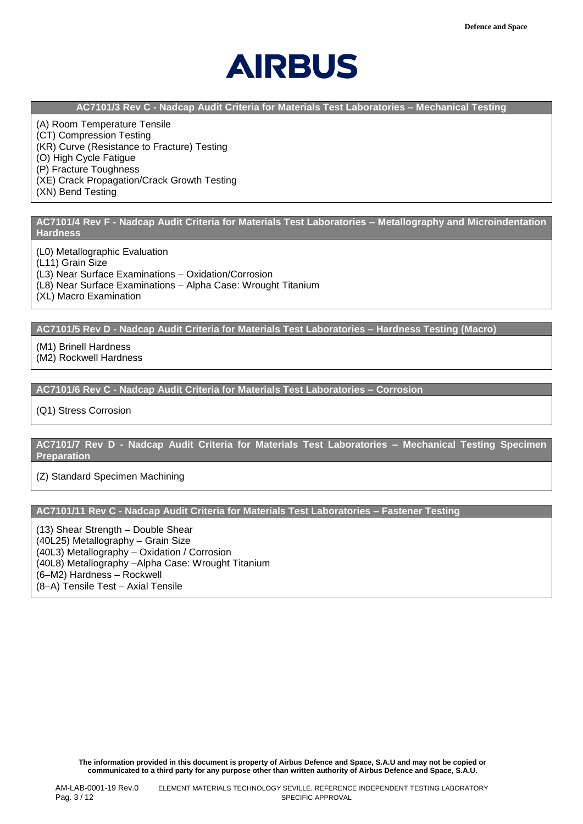

**AC7101/3 Rev C - Nadcap Audit Criteria for Materials Test Laboratories – Mechanical Testing**

(A) Room Temperature Tensile (CT) Compression Testing (KR) Curve (Resistance to Fracture) Testing (O) High Cycle Fatigue (P) Fracture Toughness (XE) Crack Propagation/Crack Growth Testing (XN) Bend Testing

**AC7101/4 Rev F - Nadcap Audit Criteria for Materials Test Laboratories – Metallography and Microindentation Hardness**

(L0) Metallographic Evaluation

(L11) Grain Size

(L3) Near Surface Examinations – Oxidation/Corrosion

(L8) Near Surface Examinations – Alpha Case: Wrought Titanium

(XL) Macro Examination

**AC7101/5 Rev D - Nadcap Audit Criteria for Materials Test Laboratories – Hardness Testing (Macro)**

(M1) Brinell Hardness

(M2) Rockwell Hardness

**AC7101/6 Rev C - Nadcap Audit Criteria for Materials Test Laboratories – Corrosion**

(Q1) Stress Corrosion

**AC7101/7 Rev D - Nadcap Audit Criteria for Materials Test Laboratories – Mechanical Testing Specimen Preparation**

(Z) Standard Specimen Machining

**AC7101/11 Rev C - Nadcap Audit Criteria for Materials Test Laboratories – Fastener Testing**

(13) Shear Strength – Double Shear (40L25) Metallography – Grain Size (40L3) Metallography – Oxidation / Corrosion (40L8) Metallography –Alpha Case: Wrought Titanium (6–M2) Hardness – Rockwell (8–A) Tensile Test – Axial Tensile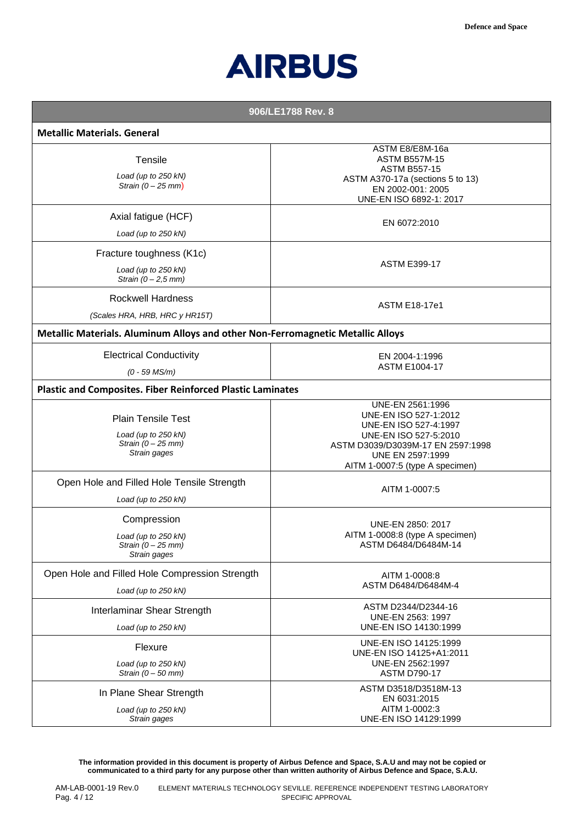

| 906/LE1788 Rev. 8 |  |
|-------------------|--|
|-------------------|--|

| <b>Metallic Materials. General</b>                                                       |                                                                                                                                                                                         |
|------------------------------------------------------------------------------------------|-----------------------------------------------------------------------------------------------------------------------------------------------------------------------------------------|
| Tensile<br>Load (up to 250 kN)<br>Strain $(0 - 25$ mm)                                   | ASTM E8/E8M-16a<br><b>ASTM B557M-15</b><br><b>ASTM B557-15</b><br>ASTM A370-17a (sections 5 to 13)<br>EN 2002-001: 2005<br>UNE-EN ISO 6892-1: 2017                                      |
| Axial fatigue (HCF)<br>Load (up to 250 kN)                                               | EN 6072:2010                                                                                                                                                                            |
| Fracture toughness (K1c)<br>Load (up to 250 kN)<br>Strain $(0 - 2.5$ mm)                 | <b>ASTM E399-17</b>                                                                                                                                                                     |
| <b>Rockwell Hardness</b><br>(Scales HRA, HRB, HRC y HR15T)                               | <b>ASTM E18-17e1</b>                                                                                                                                                                    |
| Metallic Materials. Aluminum Alloys and other Non-Ferromagnetic Metallic Alloys          |                                                                                                                                                                                         |
| <b>Electrical Conductivity</b><br>$(0 - 59$ MS/m)                                        | EN 2004-1:1996<br><b>ASTM E1004-17</b>                                                                                                                                                  |
| <b>Plastic and Composites. Fiber Reinforced Plastic Laminates</b>                        |                                                                                                                                                                                         |
| <b>Plain Tensile Test</b><br>Load (up to 250 kN)<br>Strain $(0 - 25$ mm)<br>Strain gages | UNE-EN 2561:1996<br>UNE-EN ISO 527-1:2012<br>UNE-EN ISO 527-4:1997<br>UNE-EN ISO 527-5:2010<br>ASTM D3039/D3039M-17 EN 2597:1998<br>UNE EN 2597:1999<br>AITM 1-0007:5 (type A specimen) |
| Open Hole and Filled Hole Tensile Strength<br>Load (up to 250 kN)                        | AITM 1-0007:5                                                                                                                                                                           |
| Compression<br>Load (up to 250 kN)<br>Strain $(0 - 25$ mm)<br>Strain gages               | UNE-EN 2850: 2017<br>AITM 1-0008:8 (type A specimen)<br>ASTM D6484/D6484M-14                                                                                                            |
| Open Hole and Filled Hole Compression Strength<br>Load (up to 250 kN)                    | AITM 1-0008:8<br>ASTM D6484/D6484M-4                                                                                                                                                    |
| Interlaminar Shear Strength<br>Load (up to 250 kN)                                       | ASTM D2344/D2344-16<br>UNE-EN 2563: 1997<br>UNE-EN ISO 14130:1999                                                                                                                       |
| Flexure<br>Load (up to 250 kN)<br>Strain $(0 - 50$ mm)                                   | UNE-EN ISO 14125:1999<br>UNE-EN ISO 14125+A1:2011<br>UNE-EN 2562:1997<br><b>ASTM D790-17</b>                                                                                            |
| In Plane Shear Strength<br>Load (up to 250 kN)<br>Strain gages                           | ASTM D3518/D3518M-13<br>EN 6031:2015<br>AITM 1-0002:3<br>UNE-EN ISO 14129:1999                                                                                                          |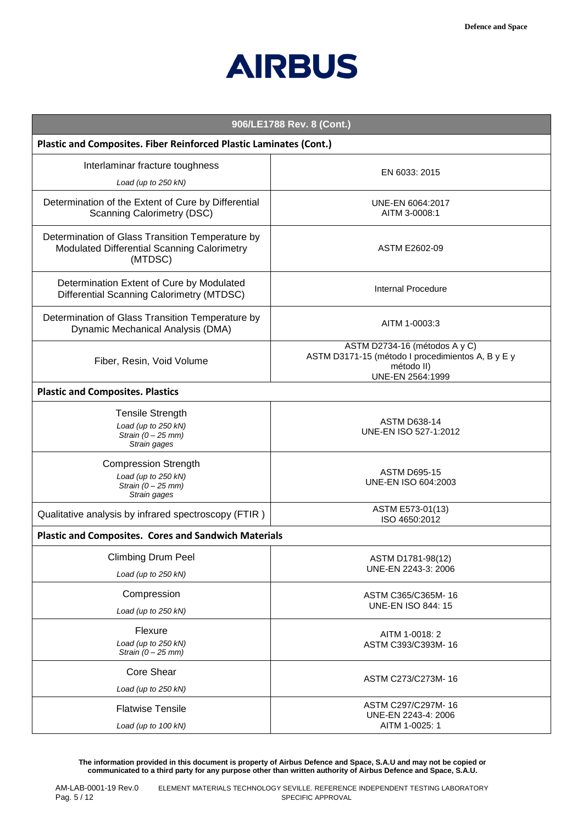

| 906/LE1788 Rev. 8 (Cont.)                                                                                  |                                                                                                                      |
|------------------------------------------------------------------------------------------------------------|----------------------------------------------------------------------------------------------------------------------|
| Plastic and Composites. Fiber Reinforced Plastic Laminates (Cont.)                                         |                                                                                                                      |
| Interlaminar fracture toughness<br>Load (up to 250 kN)                                                     | EN 6033: 2015                                                                                                        |
| Determination of the Extent of Cure by Differential<br><b>Scanning Calorimetry (DSC)</b>                   | UNE-EN 6064:2017<br>AITM 3-0008:1                                                                                    |
| Determination of Glass Transition Temperature by<br>Modulated Differential Scanning Calorimetry<br>(MTDSC) | ASTM E2602-09                                                                                                        |
| Determination Extent of Cure by Modulated<br><b>Differential Scanning Calorimetry (MTDSC)</b>              | <b>Internal Procedure</b>                                                                                            |
| Determination of Glass Transition Temperature by<br>Dynamic Mechanical Analysis (DMA)                      | AITM 1-0003:3                                                                                                        |
| Fiber, Resin, Void Volume                                                                                  | ASTM D2734-16 (métodos A y C)<br>ASTM D3171-15 (método I procedimientos A, B y E y<br>método II)<br>UNE-EN 2564:1999 |
| <b>Plastic and Composites. Plastics</b>                                                                    |                                                                                                                      |
| <b>Tensile Strength</b><br>Load (up to 250 kN)<br>Strain $(0 - 25$ mm)<br>Strain gages                     | <b>ASTM D638-14</b><br>UNE-EN ISO 527-1:2012                                                                         |
| <b>Compression Strength</b><br>Load (up to 250 kN)<br>Strain $(0 - 25$ mm)<br>Strain gages                 | <b>ASTM D695-15</b><br>UNE-EN ISO 604:2003                                                                           |
| Qualitative analysis by infrared spectroscopy (FTIR)                                                       | ASTM E573-01(13)<br>ISO 4650:2012                                                                                    |
| <b>Plastic and Composites. Cores and Sandwich Materials</b>                                                |                                                                                                                      |
| <b>Climbing Drum Peel</b><br>Load (up to 250 kN)                                                           | ASTM D1781-98(12)<br>UNE-EN 2243-3: 2006                                                                             |
| Compression<br>Load (up to 250 kN)                                                                         | ASTM C365/C365M-16<br><b>UNE-EN ISO 844: 15</b>                                                                      |
| Flexure<br>Load (up to 250 kN)<br>Strain $(0 - 25$ mm)                                                     | AITM 1-0018: 2<br>ASTM C393/C393M-16                                                                                 |
| <b>Core Shear</b><br>Load (up to 250 kN)                                                                   | ASTM C273/C273M-16                                                                                                   |
| <b>Flatwise Tensile</b><br>Load (up to 100 kN)                                                             | ASTM C297/C297M-16<br>UNE-EN 2243-4: 2006<br>AITM 1-0025: 1                                                          |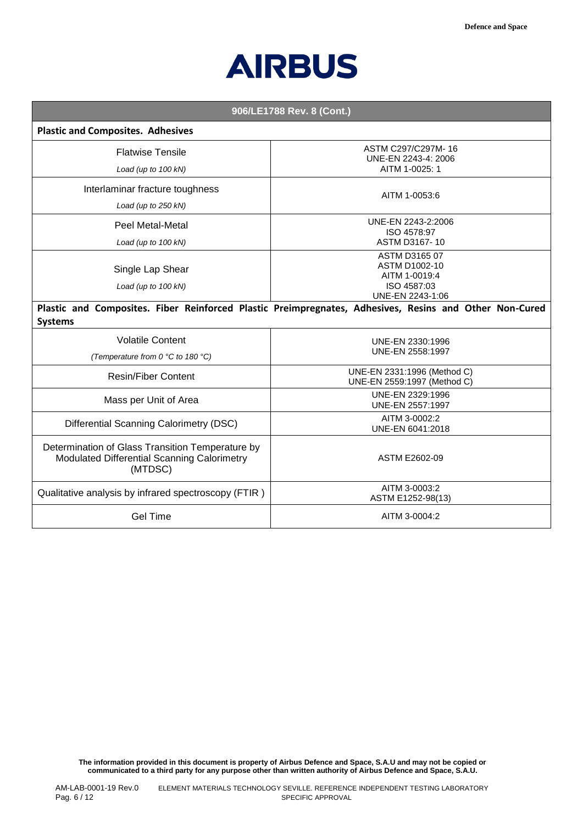

| 906/LE1788 Rev. 8 (Cont.)                                                                                                |                                                                                           |
|--------------------------------------------------------------------------------------------------------------------------|-------------------------------------------------------------------------------------------|
| <b>Plastic and Composites. Adhesives</b>                                                                                 |                                                                                           |
| <b>Flatwise Tensile</b><br>Load (up to 100 kN)                                                                           | ASTM C297/C297M-16<br>UNE-EN 2243-4: 2006<br>AITM 1-0025: 1                               |
| Interlaminar fracture toughness<br>Load (up to 250 kN)                                                                   | AITM 1-0053:6                                                                             |
| Peel Metal-Metal<br>Load (up to 100 kN)                                                                                  | UNE-EN 2243-2:2006<br>ISO 4578:97<br>ASTM D3167-10                                        |
| Single Lap Shear<br>Load (up to 100 kN)                                                                                  | ASTM D3165 07<br><b>ASTM D1002-10</b><br>AITM 1-0019:4<br>ISO 4587:03<br>UNE-EN 2243-1:06 |
| Plastic and Composites. Fiber Reinforced Plastic Preimpregnates, Adhesives, Resins and Other Non-Cured<br><b>Systems</b> |                                                                                           |
| <b>Volatile Content</b><br>(Temperature from 0 °C to 180 °C)                                                             | UNE-EN 2330:1996<br>UNE-EN 2558:1997                                                      |
| <b>Resin/Fiber Content</b>                                                                                               | UNE-EN 2331:1996 (Method C)<br>UNE-EN 2559:1997 (Method C)                                |
| Mass per Unit of Area                                                                                                    | UNE-EN 2329:1996<br>UNE-EN 2557:1997                                                      |
| Differential Scanning Calorimetry (DSC)                                                                                  | AITM 3-0002:2<br>UNE-EN 6041:2018                                                         |
| Determination of Glass Transition Temperature by<br>Modulated Differential Scanning Calorimetry<br>(MTDSC)               | ASTM E2602-09                                                                             |
| Qualitative analysis by infrared spectroscopy (FTIR)                                                                     | AITM 3-0003:2<br>ASTM E1252-98(13)                                                        |
| <b>Gel Time</b>                                                                                                          | AITM 3-0004:2                                                                             |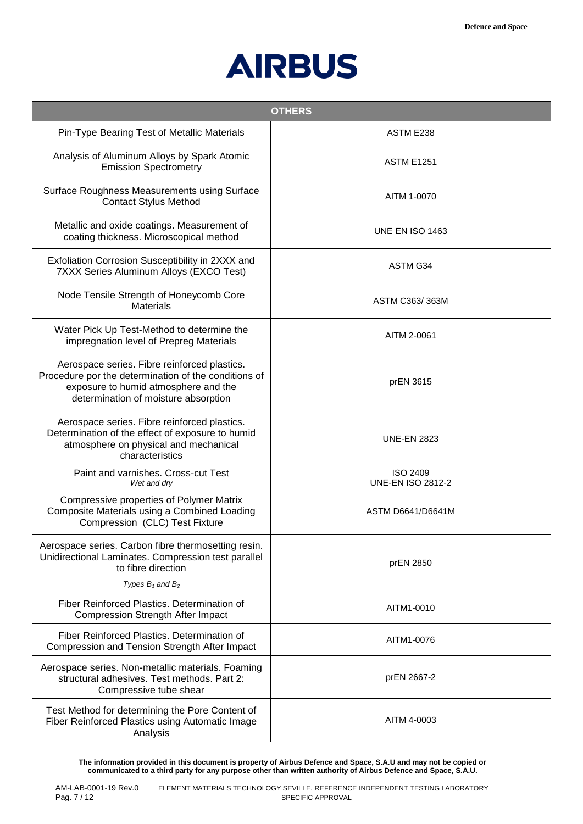

|                                                                                                                                                                                      | <b>OTHERS</b>                               |
|--------------------------------------------------------------------------------------------------------------------------------------------------------------------------------------|---------------------------------------------|
| Pin-Type Bearing Test of Metallic Materials                                                                                                                                          | ASTM E238                                   |
| Analysis of Aluminum Alloys by Spark Atomic<br><b>Emission Spectrometry</b>                                                                                                          | <b>ASTM E1251</b>                           |
| Surface Roughness Measurements using Surface<br><b>Contact Stylus Method</b>                                                                                                         | AITM 1-0070                                 |
| Metallic and oxide coatings. Measurement of<br>coating thickness. Microscopical method                                                                                               | <b>UNE EN ISO 1463</b>                      |
| Exfoliation Corrosion Susceptibility in 2XXX and<br>7XXX Series Aluminum Alloys (EXCO Test)                                                                                          | ASTM G34                                    |
| Node Tensile Strength of Honeycomb Core<br><b>Materials</b>                                                                                                                          | ASTM C363/363M                              |
| Water Pick Up Test-Method to determine the<br>impregnation level of Prepreg Materials                                                                                                | AITM 2-0061                                 |
| Aerospace series. Fibre reinforced plastics.<br>Procedure por the determination of the conditions of<br>exposure to humid atmosphere and the<br>determination of moisture absorption | prEN 3615                                   |
| Aerospace series. Fibre reinforced plastics.<br>Determination of the effect of exposure to humid<br>atmosphere on physical and mechanical<br>characteristics                         | <b>UNE-EN 2823</b>                          |
| Paint and varnishes. Cross-cut Test<br>Wet and dry                                                                                                                                   | <b>ISO 2409</b><br><b>UNE-EN ISO 2812-2</b> |
| Compressive properties of Polymer Matrix<br>Composite Materials using a Combined Loading<br>Compression (CLC) Test Fixture                                                           | ASTM D6641/D6641M                           |
| Aerospace series. Carbon fibre thermosetting resin.<br>Unidirectional Laminates. Compression test parallel<br>to fibre direction<br>Types $B_1$ and $B_2$                            | prEN 2850                                   |
| Fiber Reinforced Plastics. Determination of<br><b>Compression Strength After Impact</b>                                                                                              | AITM1-0010                                  |
| Fiber Reinforced Plastics. Determination of<br>Compression and Tension Strength After Impact                                                                                         | AITM1-0076                                  |
| Aerospace series. Non-metallic materials. Foaming<br>structural adhesives. Test methods. Part 2:<br>Compressive tube shear                                                           | prEN 2667-2                                 |
| Test Method for determining the Pore Content of<br>Fiber Reinforced Plastics using Automatic Image<br>Analysis                                                                       | AITM 4-0003                                 |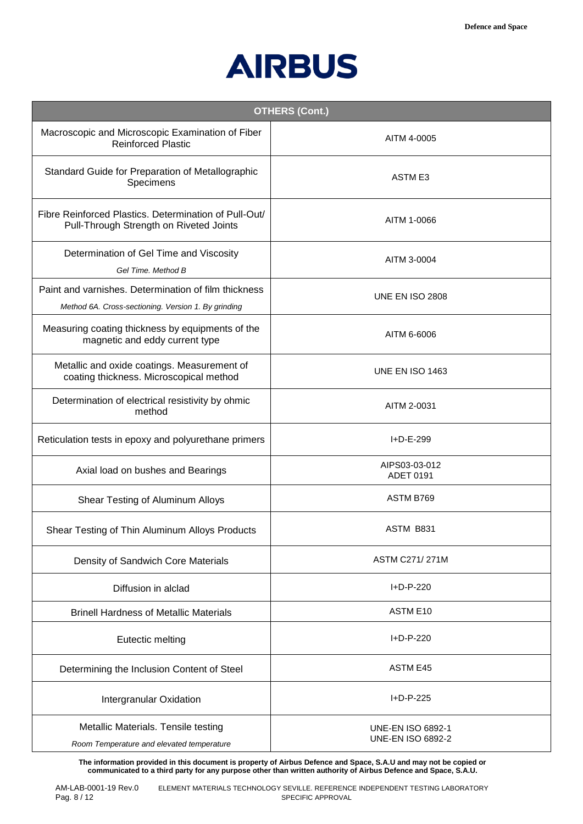

| <b>OTHERS (Cont.)</b>                                                                                       |                                                      |
|-------------------------------------------------------------------------------------------------------------|------------------------------------------------------|
| Macroscopic and Microscopic Examination of Fiber<br><b>Reinforced Plastic</b>                               | AITM 4-0005                                          |
| Standard Guide for Preparation of Metallographic<br>Specimens                                               | ASTM E3                                              |
| Fibre Reinforced Plastics. Determination of Pull-Out/<br>Pull-Through Strength on Riveted Joints            | AITM 1-0066                                          |
| Determination of Gel Time and Viscosity<br>Gel Time. Method B                                               | AITM 3-0004                                          |
| Paint and varnishes. Determination of film thickness<br>Method 6A. Cross-sectioning. Version 1. By grinding | <b>UNE EN ISO 2808</b>                               |
| Measuring coating thickness by equipments of the<br>magnetic and eddy current type                          | AITM 6-6006                                          |
| Metallic and oxide coatings. Measurement of<br>coating thickness. Microscopical method                      | <b>UNE EN ISO 1463</b>                               |
| Determination of electrical resistivity by ohmic<br>method                                                  | AITM 2-0031                                          |
| Reticulation tests in epoxy and polyurethane primers                                                        | I+D-E-299                                            |
| Axial load on bushes and Bearings                                                                           | AIPS03-03-012<br>ADET 0191                           |
| Shear Testing of Aluminum Alloys                                                                            | ASTM B769                                            |
| Shear Testing of Thin Aluminum Alloys Products                                                              | ASTM B831                                            |
| Density of Sandwich Core Materials                                                                          | <b>ASTM C271/271M</b>                                |
| Diffusion in alclad                                                                                         | I+D-P-220                                            |
| <b>Brinell Hardness of Metallic Materials</b>                                                               | ASTM E10                                             |
| Eutectic melting                                                                                            | I+D-P-220                                            |
| Determining the Inclusion Content of Steel                                                                  | <b>ASTM E45</b>                                      |
| Intergranular Oxidation                                                                                     | I+D-P-225                                            |
| Metallic Materials. Tensile testing<br>Room Temperature and elevated temperature                            | <b>UNE-EN ISO 6892-1</b><br><b>UNE-EN ISO 6892-2</b> |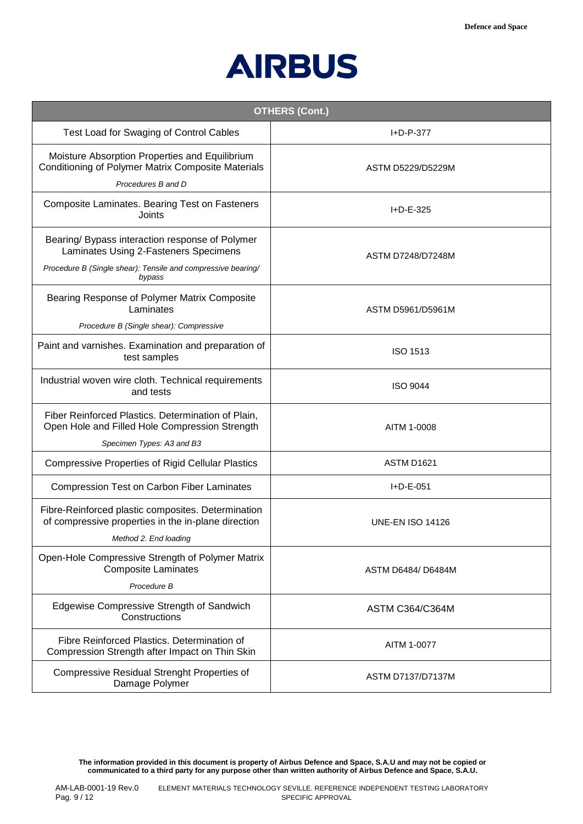

| <b>OTHERS (Cont.)</b>                                                                                                                                              |                          |
|--------------------------------------------------------------------------------------------------------------------------------------------------------------------|--------------------------|
| Test Load for Swaging of Control Cables                                                                                                                            | I+D-P-377                |
| Moisture Absorption Properties and Equilibrium<br>Conditioning of Polymer Matrix Composite Materials<br>Procedures B and D                                         | ASTM D5229/D5229M        |
| Composite Laminates. Bearing Test on Fasteners<br>Joints                                                                                                           | I+D-E-325                |
| Bearing/ Bypass interaction response of Polymer<br>Laminates Using 2-Fasteners Specimens<br>Procedure B (Single shear): Tensile and compressive bearing/<br>bypass | <b>ASTM D7248/D7248M</b> |
| Bearing Response of Polymer Matrix Composite<br>Laminates<br>Procedure B (Single shear): Compressive                                                               | ASTM D5961/D5961M        |
| Paint and varnishes. Examination and preparation of<br>test samples                                                                                                | <b>ISO 1513</b>          |
| Industrial woven wire cloth. Technical requirements<br>and tests                                                                                                   | <b>ISO 9044</b>          |
| Fiber Reinforced Plastics. Determination of Plain,<br>Open Hole and Filled Hole Compression Strength<br>Specimen Types: A3 and B3                                  | AITM 1-0008              |
| <b>Compressive Properties of Rigid Cellular Plastics</b>                                                                                                           | ASTM D1621               |
| <b>Compression Test on Carbon Fiber Laminates</b>                                                                                                                  | $I + D - E - 051$        |
| Fibre-Reinforced plastic composites. Determination<br>of compressive properties in the in-plane direction<br>Method 2. End loading                                 | <b>UNE-EN ISO 14126</b>  |
| Open-Hole Compressive Strength of Polymer Matrix<br><b>Composite Laminates</b><br>Procedure B                                                                      | ASTM D6484/ D6484M       |
| Edgewise Compressive Strength of Sandwich<br>Constructions                                                                                                         | <b>ASTM C364/C364M</b>   |
| Fibre Reinforced Plastics. Determination of<br>Compression Strength after Impact on Thin Skin                                                                      | AITM 1-0077              |
| <b>Compressive Residual Strenght Properties of</b><br>Damage Polymer                                                                                               | ASTM D7137/D7137M        |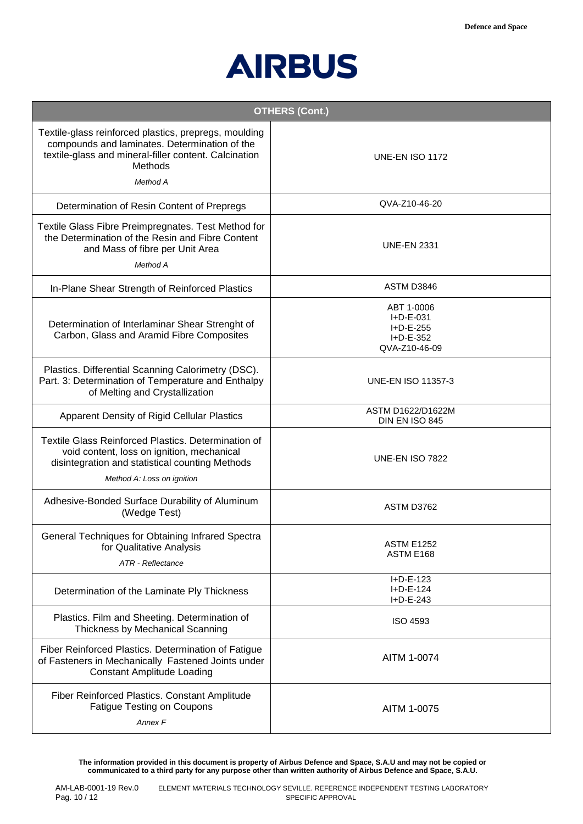

|                                                                                                                                                                                        | <b>OTHERS (Cont.)</b>                                                              |
|----------------------------------------------------------------------------------------------------------------------------------------------------------------------------------------|------------------------------------------------------------------------------------|
| Textile-glass reinforced plastics, prepregs, moulding<br>compounds and laminates. Determination of the<br>textile-glass and mineral-filler content. Calcination<br>Methods<br>Method A | <b>UNE-EN ISO 1172</b>                                                             |
| Determination of Resin Content of Prepregs                                                                                                                                             | QVA-Z10-46-20                                                                      |
| Textile Glass Fibre Preimpregnates. Test Method for<br>the Determination of the Resin and Fibre Content<br>and Mass of fibre per Unit Area<br>Method A                                 | <b>UNE-EN 2331</b>                                                                 |
| In-Plane Shear Strength of Reinforced Plastics                                                                                                                                         | ASTM D3846                                                                         |
| Determination of Interlaminar Shear Strenght of<br>Carbon, Glass and Aramid Fibre Composites                                                                                           | ABT 1-0006<br>$I + D - E - 031$<br>I+D-E-255<br>$I + D - E - 352$<br>QVA-Z10-46-09 |
| Plastics. Differential Scanning Calorimetry (DSC).<br>Part. 3: Determination of Temperature and Enthalpy<br>of Melting and Crystallization                                             | <b>UNE-EN ISO 11357-3</b>                                                          |
| Apparent Density of Rigid Cellular Plastics                                                                                                                                            | ASTM D1622/D1622M<br>DIN EN ISO 845                                                |
| Textile Glass Reinforced Plastics. Determination of<br>void content, loss on ignition, mechanical<br>disintegration and statistical counting Methods<br>Method A: Loss on ignition     | <b>UNE-EN ISO 7822</b>                                                             |
| Adhesive-Bonded Surface Durability of Aluminum<br>(Wedge Test)                                                                                                                         | ASTM D3762                                                                         |
| General Techniques for Obtaining Infrared Spectra<br>for Qualitative Analysis<br>ATR - Reflectance                                                                                     | <b>ASTM E1252</b><br>ASTM E168                                                     |
| Determination of the Laminate Ply Thickness                                                                                                                                            | I+D-E-123<br>$I + D - E - 124$<br>I+D-E-243                                        |
| Plastics. Film and Sheeting. Determination of<br>Thickness by Mechanical Scanning                                                                                                      | <b>ISO 4593</b>                                                                    |
| Fiber Reinforced Plastics. Determination of Fatigue<br>of Fasteners in Mechanically Fastened Joints under<br><b>Constant Amplitude Loading</b>                                         | AITM 1-0074                                                                        |
| Fiber Reinforced Plastics. Constant Amplitude<br><b>Fatigue Testing on Coupons</b><br>Annex F                                                                                          | AITM 1-0075                                                                        |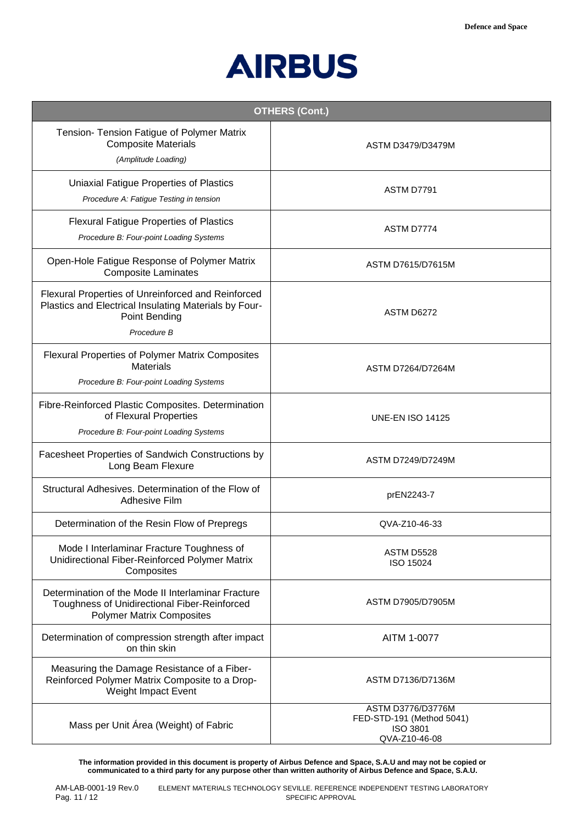

| <b>OTHERS (Cont.)</b>                                                                                                                         |                                                                             |
|-----------------------------------------------------------------------------------------------------------------------------------------------|-----------------------------------------------------------------------------|
| Tension- Tension Fatigue of Polymer Matrix<br><b>Composite Materials</b><br>(Amplitude Loading)                                               | ASTM D3479/D3479M                                                           |
| Uniaxial Fatigue Properties of Plastics<br>Procedure A: Fatigue Testing in tension                                                            | ASTM D7791                                                                  |
| <b>Flexural Fatigue Properties of Plastics</b><br>Procedure B: Four-point Loading Systems                                                     | ASTM D7774                                                                  |
| Open-Hole Fatigue Response of Polymer Matrix<br><b>Composite Laminates</b>                                                                    | <b>ASTM D7615/D7615M</b>                                                    |
| Flexural Properties of Unreinforced and Reinforced<br>Plastics and Electrical Insulating Materials by Four-<br>Point Bending<br>Procedure B   | ASTM D6272                                                                  |
| <b>Flexural Properties of Polymer Matrix Composites</b><br><b>Materials</b><br>Procedure B: Four-point Loading Systems                        | <b>ASTM D7264/D7264M</b>                                                    |
| Fibre-Reinforced Plastic Composites. Determination<br>of Flexural Properties<br>Procedure B: Four-point Loading Systems                       | <b>UNE-EN ISO 14125</b>                                                     |
| Facesheet Properties of Sandwich Constructions by<br>Long Beam Flexure                                                                        | <b>ASTM D7249/D7249M</b>                                                    |
| Structural Adhesives. Determination of the Flow of<br>Adhesive Film                                                                           | prEN2243-7                                                                  |
| Determination of the Resin Flow of Prepregs                                                                                                   | QVA-Z10-46-33                                                               |
| Mode I Interlaminar Fracture Toughness of<br>Unidirectional Fiber-Reinforced Polymer Matrix<br>Composites                                     | ASTM D5528<br>ISO 15024                                                     |
| Determination of the Mode II Interlaminar Fracture<br><b>Toughness of Unidirectional Fiber-Reinforced</b><br><b>Polymer Matrix Composites</b> | ASTM D7905/D7905M                                                           |
| Determination of compression strength after impact<br>on thin skin                                                                            | AITM 1-0077                                                                 |
| Measuring the Damage Resistance of a Fiber-<br>Reinforced Polymer Matrix Composite to a Drop-<br>Weight Impact Event                          | ASTM D7136/D7136M                                                           |
| Mass per Unit Área (Weight) of Fabric                                                                                                         | ASTM D3776/D3776M<br>FED-STD-191 (Method 5041)<br>ISO 3801<br>QVA-Z10-46-08 |